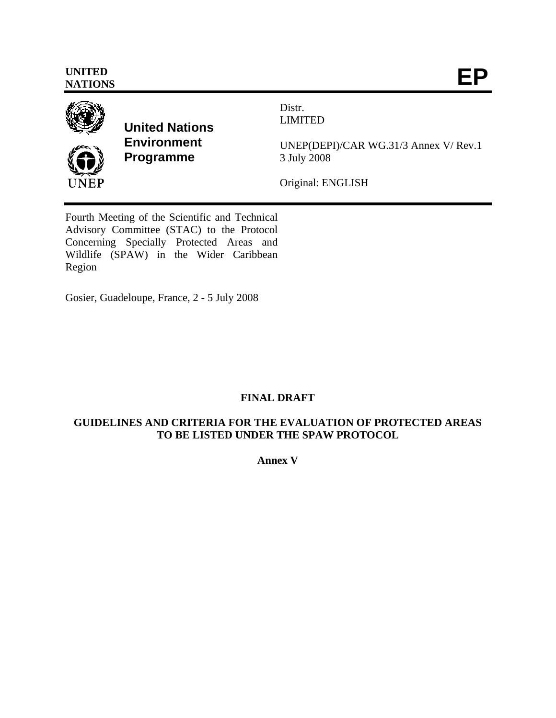

**United Nations Environment Programme** 

Distr. LIMITED

UNEP(DEPI)/CAR WG.31/3 Annex V/ Rev.1 3 July 2008

Original: ENGLISH

Fourth Meeting of the Scientific and Technical Advisory Committee (STAC) to the Protocol Concerning Specially Protected Areas and Wildlife (SPAW) in the Wider Caribbean Region

Gosier, Guadeloupe, France, 2 - 5 July 2008

# **FINAL DRAFT**

# **GUIDELINES AND CRITERIA FOR THE EVALUATION OF PROTECTED AREAS TO BE LISTED UNDER THE SPAW PROTOCOL**

**Annex V**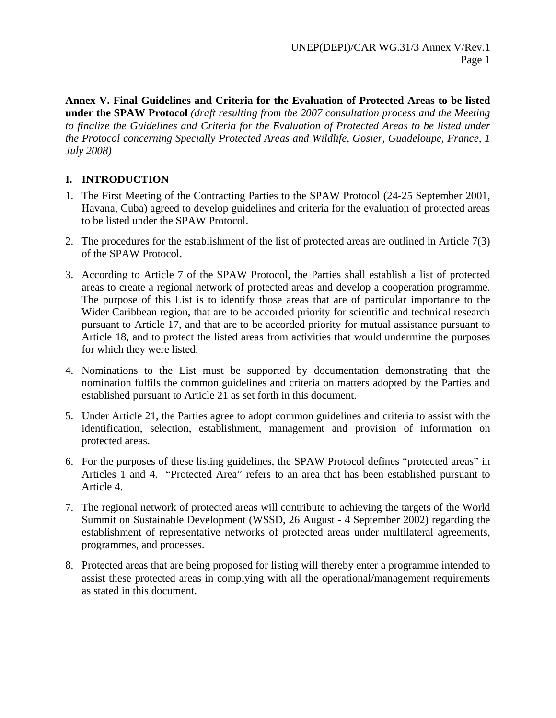**Annex V. Final Guidelines and Criteria for the Evaluation of Protected Areas to be listed under the SPAW Protocol** *(draft resulting from the 2007 consultation process and the Meeting to finalize the Guidelines and Criteria for the Evaluation of Protected Areas to be listed under the Protocol concerning Specially Protected Areas and Wildlife, Gosier, Guadeloupe, France, 1 July 2008)*

# **I. INTRODUCTION**

- 1. The First Meeting of the Contracting Parties to the SPAW Protocol (24-25 September 2001, Havana, Cuba) agreed to develop guidelines and criteria for the evaluation of protected areas to be listed under the SPAW Protocol.
- 2. The procedures for the establishment of the list of protected areas are outlined in Article 7(3) of the SPAW Protocol.
- 3. According to Article 7 of the SPAW Protocol, the Parties shall establish a list of protected areas to create a regional network of protected areas and develop a cooperation programme. The purpose of this List is to identify those areas that are of particular importance to the Wider Caribbean region, that are to be accorded priority for scientific and technical research pursuant to Article 17, and that are to be accorded priority for mutual assistance pursuant to Article 18, and to protect the listed areas from activities that would undermine the purposes for which they were listed.
- 4. Nominations to the List must be supported by documentation demonstrating that the nomination fulfils the common guidelines and criteria on matters adopted by the Parties and established pursuant to Article 21 as set forth in this document.
- 5. Under Article 21, the Parties agree to adopt common guidelines and criteria to assist with the identification, selection, establishment, management and provision of information on protected areas.
- 6. For the purposes of these listing guidelines, the SPAW Protocol defines "protected areas" in Articles 1 and 4. "Protected Area" refers to an area that has been established pursuant to Article 4.
- 7. The regional network of protected areas will contribute to achieving the targets of the World Summit on Sustainable Development (WSSD, 26 August - 4 September 2002) regarding the establishment of representative networks of protected areas under multilateral agreements, programmes, and processes.
- 8. Protected areas that are being proposed for listing will thereby enter a programme intended to assist these protected areas in complying with all the operational/management requirements as stated in this document.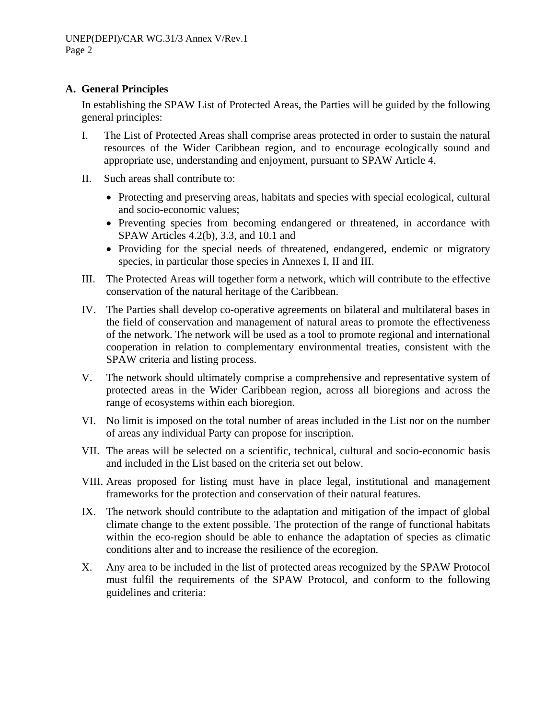### **A. General Principles**

In establishing the SPAW List of Protected Areas, the Parties will be guided by the following general principles:

- I. The List of Protected Areas shall comprise areas protected in order to sustain the natural resources of the Wider Caribbean region, and to encourage ecologically sound and appropriate use, understanding and enjoyment, pursuant to SPAW Article 4.
- II. Such areas shall contribute to:
	- Protecting and preserving areas, habitats and species with special ecological, cultural and socio-economic values;
	- Preventing species from becoming endangered or threatened, in accordance with SPAW Articles 4.2(b), 3.3, and 10.1 and
	- Providing for the special needs of threatened, endangered, endemic or migratory species, in particular those species in Annexes I, II and III.
- III. The Protected Areas will together form a network, which will contribute to the effective conservation of the natural heritage of the Caribbean.
- IV. The Parties shall develop co-operative agreements on bilateral and multilateral bases in the field of conservation and management of natural areas to promote the effectiveness of the network. The network will be used as a tool to promote regional and international cooperation in relation to complementary environmental treaties, consistent with the SPAW criteria and listing process.
- V. The network should ultimately comprise a comprehensive and representative system of protected areas in the Wider Caribbean region, across all bioregions and across the range of ecosystems within each bioregion.
- VI. No limit is imposed on the total number of areas included in the List nor on the number of areas any individual Party can propose for inscription.
- VII. The areas will be selected on a scientific, technical, cultural and socio-economic basis and included in the List based on the criteria set out below.
- VIII. Areas proposed for listing must have in place legal, institutional and management frameworks for the protection and conservation of their natural features.
- IX. The network should contribute to the adaptation and mitigation of the impact of global climate change to the extent possible. The protection of the range of functional habitats within the eco-region should be able to enhance the adaptation of species as climatic conditions alter and to increase the resilience of the ecoregion.
- X. Any area to be included in the list of protected areas recognized by the SPAW Protocol must fulfil the requirements of the SPAW Protocol, and conform to the following guidelines and criteria: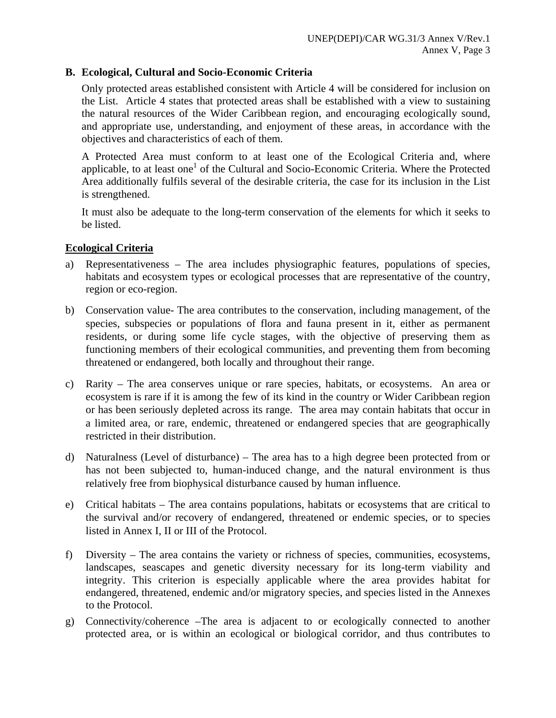### **B. Ecological, Cultural and Socio-Economic Criteria**

Only protected areas established consistent with Article 4 will be considered for inclusion on the List. Article 4 states that protected areas shall be established with a view to sustaining the natural resources of the Wider Caribbean region, and encouraging ecologically sound, and appropriate use, understanding, and enjoyment of these areas, in accordance with the objectives and characteristics of each of them.

A Protected Area must conform to at least one of the Ecological Criteria and, where applicable, to at least one<sup>1</sup> of the Cultural and Socio-Economic Criteria. Where the Protected Area additionally fulfils several of the desirable criteria, the case for its inclusion in the List is strengthened.

It must also be adequate to the long-term conservation of the elements for which it seeks to be listed.

#### **Ecological Criteria**

- a) Representativeness The area includes physiographic features, populations of species, habitats and ecosystem types or ecological processes that are representative of the country, region or eco-region.
- b) Conservation value- The area contributes to the conservation, including management, of the species, subspecies or populations of flora and fauna present in it, either as permanent residents, or during some life cycle stages, with the objective of preserving them as functioning members of their ecological communities, and preventing them from becoming threatened or endangered, both locally and throughout their range.
- c) Rarity The area conserves unique or rare species, habitats, or ecosystems. An area or ecosystem is rare if it is among the few of its kind in the country or Wider Caribbean region or has been seriously depleted across its range. The area may contain habitats that occur in a limited area, or rare, endemic, threatened or endangered species that are geographically restricted in their distribution.
- d) Naturalness (Level of disturbance) The area has to a high degree been protected from or has not been subjected to, human-induced change, and the natural environment is thus relatively free from biophysical disturbance caused by human influence.
- e) Critical habitats The area contains populations, habitats or ecosystems that are critical to the survival and/or recovery of endangered, threatened or endemic species, or to species listed in Annex I, II or III of the Protocol.
- f) Diversity The area contains the variety or richness of species, communities, ecosystems, landscapes, seascapes and genetic diversity necessary for its long-term viability and integrity. This criterion is especially applicable where the area provides habitat for endangered, threatened, endemic and/or migratory species, and species listed in the Annexes to the Protocol.
- g) Connectivity/coherence –The area is adjacent to or ecologically connected to another protected area, or is within an ecological or biological corridor, and thus contributes to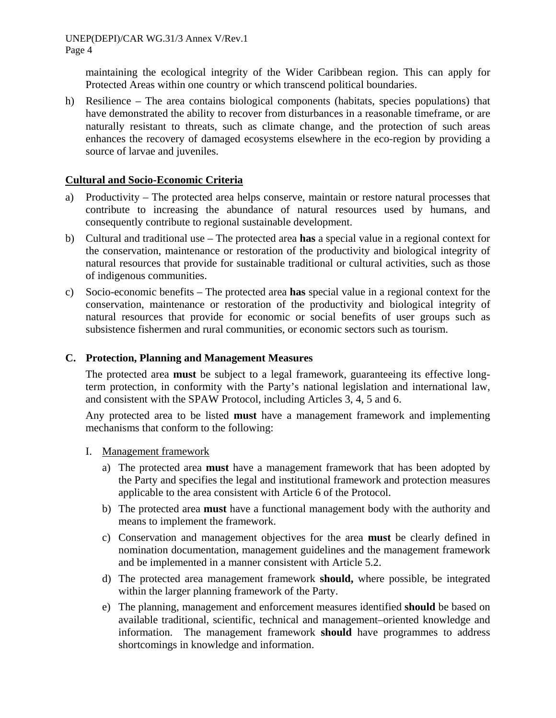maintaining the ecological integrity of the Wider Caribbean region. This can apply for Protected Areas within one country or which transcend political boundaries.

h) Resilience – The area contains biological components (habitats, species populations) that have demonstrated the ability to recover from disturbances in a reasonable timeframe, or are naturally resistant to threats, such as climate change, and the protection of such areas enhances the recovery of damaged ecosystems elsewhere in the eco-region by providing a source of larvae and juveniles.

### **Cultural and Socio-Economic Criteria**

- a) Productivity The protected area helps conserve, maintain or restore natural processes that contribute to increasing the abundance of natural resources used by humans, and consequently contribute to regional sustainable development.
- b) Cultural and traditional use The protected area **has** a special value in a regional context for the conservation, maintenance or restoration of the productivity and biological integrity of natural resources that provide for sustainable traditional or cultural activities, such as those of indigenous communities.
- c) Socio-economic benefits The protected area **has** special value in a regional context for the conservation, maintenance or restoration of the productivity and biological integrity of natural resources that provide for economic or social benefits of user groups such as subsistence fishermen and rural communities, or economic sectors such as tourism.

### **C. Protection, Planning and Management Measures**

The protected area **must** be subject to a legal framework, guaranteeing its effective longterm protection, in conformity with the Party's national legislation and international law, and consistent with the SPAW Protocol, including Articles 3, 4, 5 and 6.

Any protected area to be listed **must** have a management framework and implementing mechanisms that conform to the following:

- I. Management framework
	- a) The protected area **must** have a management framework that has been adopted by the Party and specifies the legal and institutional framework and protection measures applicable to the area consistent with Article 6 of the Protocol.
	- b) The protected area **must** have a functional management body with the authority and means to implement the framework.
	- c) Conservation and management objectives for the area **must** be clearly defined in nomination documentation, management guidelines and the management framework and be implemented in a manner consistent with Article 5.2.
	- d) The protected area management framework **should,** where possible, be integrated within the larger planning framework of the Party.
	- e) The planning, management and enforcement measures identified **should** be based on available traditional, scientific, technical and management–oriented knowledge and information. The management framework **should** have programmes to address shortcomings in knowledge and information.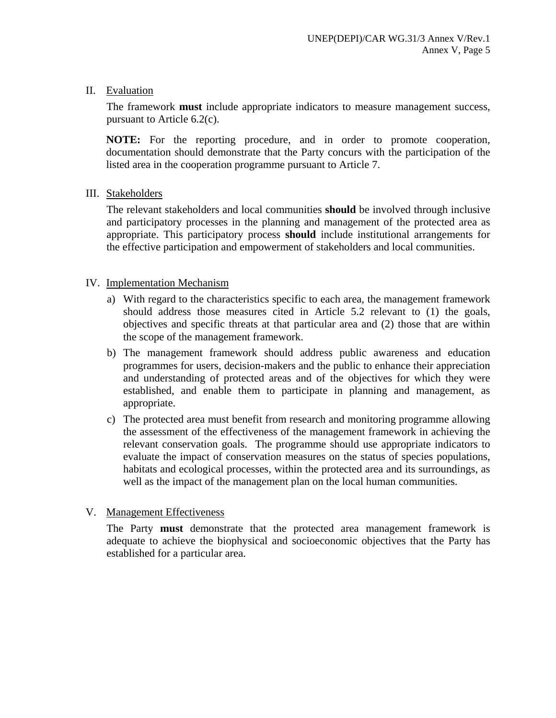II. Evaluation

The framework **must** include appropriate indicators to measure management success, pursuant to Article 6.2(c).

**NOTE:** For the reporting procedure, and in order to promote cooperation, documentation should demonstrate that the Party concurs with the participation of the listed area in the cooperation programme pursuant to Article 7.

#### III. Stakeholders

The relevant stakeholders and local communities **should** be involved through inclusive and participatory processes in the planning and management of the protected area as appropriate. This participatory process **should** include institutional arrangements for the effective participation and empowerment of stakeholders and local communities.

#### IV. Implementation Mechanism

- a) With regard to the characteristics specific to each area, the management framework should address those measures cited in Article 5.2 relevant to (1) the goals, objectives and specific threats at that particular area and (2) those that are within the scope of the management framework.
- b) The management framework should address public awareness and education programmes for users, decision-makers and the public to enhance their appreciation and understanding of protected areas and of the objectives for which they were established, and enable them to participate in planning and management, as appropriate.
- c) The protected area must benefit from research and monitoring programme allowing the assessment of the effectiveness of the management framework in achieving the relevant conservation goals. The programme should use appropriate indicators to evaluate the impact of conservation measures on the status of species populations, habitats and ecological processes, within the protected area and its surroundings, as well as the impact of the management plan on the local human communities.

## V. Management Effectiveness

The Party **must** demonstrate that the protected area management framework is adequate to achieve the biophysical and socioeconomic objectives that the Party has established for a particular area.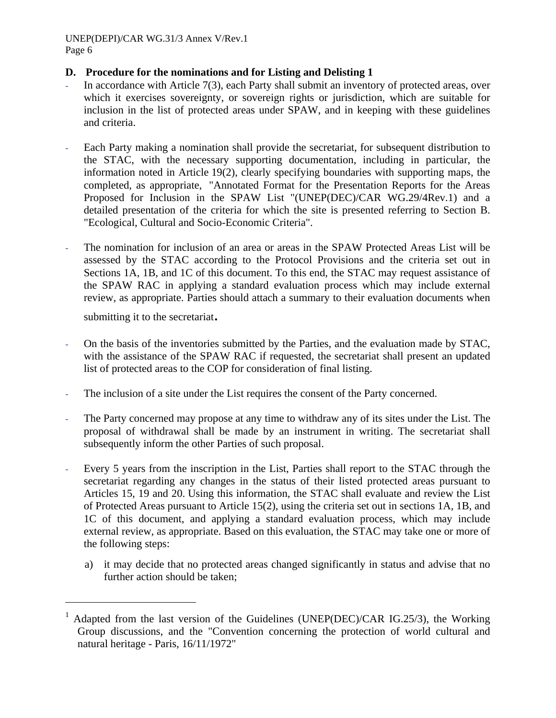### **D. Procedure for the nominations and for Listing and Delisting 1**

- In accordance with Article  $7(3)$ , each Party shall submit an inventory of protected areas, over which it exercises sovereignty, or sovereign rights or jurisdiction, which are suitable for inclusion in the list of protected areas under SPAW, and in keeping with these guidelines and criteria.
- Each Party making a nomination shall provide the secretariat, for subsequent distribution to the STAC, with the necessary supporting documentation, including in particular, the information noted in Article 19(2), clearly specifying boundaries with supporting maps, the completed, as appropriate, "Annotated Format for the Presentation Reports for the Areas Proposed for Inclusion in the SPAW List "(UNEP(DEC)/CAR WG.29/4Rev.1) and a detailed presentation of the criteria for which the site is presented referring to Section B. "Ecological, Cultural and Socio-Economic Criteria".
- The nomination for inclusion of an area or areas in the SPAW Protected Areas List will be assessed by the STAC according to the Protocol Provisions and the criteria set out in Sections 1A, 1B, and 1C of this document. To this end, the STAC may request assistance of the SPAW RAC in applying a standard evaluation process which may include external review, as appropriate. Parties should attach a summary to their evaluation documents when

submitting it to the secretariat.

 $\overline{a}$ 

- On the basis of the inventories submitted by the Parties, and the evaluation made by STAC, with the assistance of the SPAW RAC if requested, the secretariat shall present an updated list of protected areas to the COP for consideration of final listing.
- The inclusion of a site under the List requires the consent of the Party concerned.
- The Party concerned may propose at any time to withdraw any of its sites under the List. The proposal of withdrawal shall be made by an instrument in writing. The secretariat shall subsequently inform the other Parties of such proposal.
- Every 5 years from the inscription in the List, Parties shall report to the STAC through the secretariat regarding any changes in the status of their listed protected areas pursuant to Articles 15, 19 and 20. Using this information, the STAC shall evaluate and review the List of Protected Areas pursuant to Article 15(2), using the criteria set out in sections 1A, 1B, and 1C of this document, and applying a standard evaluation process, which may include external review, as appropriate. Based on this evaluation, the STAC may take one or more of the following steps:
	- a) it may decide that no protected areas changed significantly in status and advise that no further action should be taken;

<sup>&</sup>lt;sup>1</sup> Adapted from the last version of the Guidelines (UNEP(DEC)/CAR IG.25/3), the Working Group discussions, and the "Convention concerning the protection of world cultural and natural heritage - Paris, 16/11/1972"